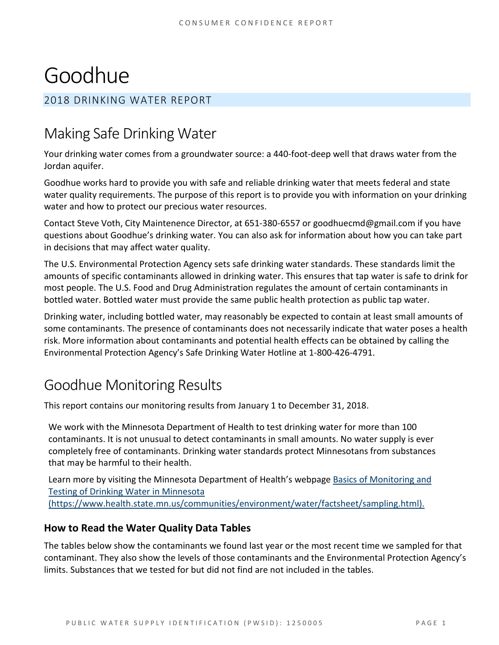# Goodhue

### 2018 DRINKING WATER REPORT

# Making Safe Drinking Water

Your drinking water comes from a groundwater source: a 440-foot-deep well that draws water from the Jordan aquifer.

Goodhue works hard to provide you with safe and reliable drinking water that meets federal and state water quality requirements. The purpose of this report is to provide you with information on your drinking water and how to protect our precious water resources.

Contact Steve Voth, City Maintenence Director, at 651-380-6557 or goodhuecmd@gmail.com if you have questions about Goodhue's drinking water. You can also ask for information about how you can take part in decisions that may affect water quality.

The U.S. Environmental Protection Agency sets safe drinking water standards. These standards limit the amounts of specific contaminants allowed in drinking water. This ensures that tap water is safe to drink for most people. The U.S. Food and Drug Administration regulates the amount of certain contaminants in bottled water. Bottled water must provide the same public health protection as public tap water.

Drinking water, including bottled water, may reasonably be expected to contain at least small amounts of some contaminants. The presence of contaminants does not necessarily indicate that water poses a health risk. More information about contaminants and potential health effects can be obtained by calling the Environmental Protection Agency's Safe Drinking Water Hotline at 1-800-426-4791.

# Goodhue Monitoring Results

This report contains our monitoring results from January 1 to December 31, 2018.

We work with the Minnesota Department of Health to test drinking water for more than 100 contaminants. It is not unusual to detect contaminants in small amounts. No water supply is ever completely free of contaminants. Drinking water standards protect Minnesotans from substances that may be harmful to their health.

Learn more by visiting the Minnesota Department of Health's webpag[e Basics of Monitoring and](https://www.health.state.mn.us/communities/environment/water/factsheet/sampling.html)  [Testing of Drinking Water in Minnesota](https://www.health.state.mn.us/communities/environment/water/factsheet/sampling.html)  [\(https://www.health.state.mn.us/communities/environment/water/factsheet/sampling.html\).](https://www.health.state.mn.us/communities/environment/water/factsheet/sampling.html)

### **How to Read the Water Quality Data Tables**

The tables below show the contaminants we found last year or the most recent time we sampled for that contaminant. They also show the levels of those contaminants and the Environmental Protection Agency's limits. Substances that we tested for but did not find are not included in the tables.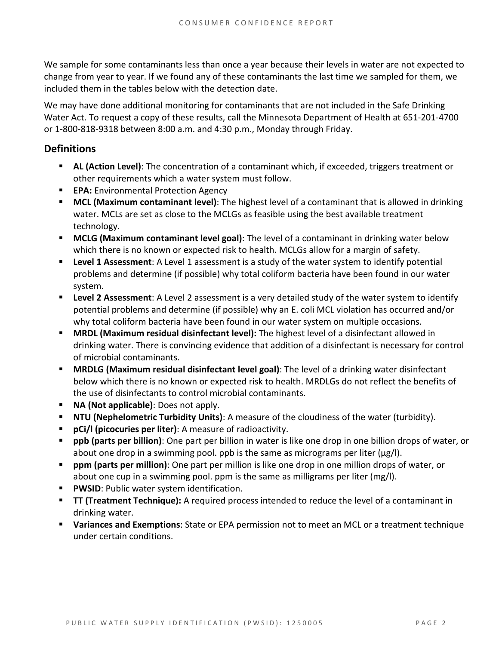We sample for some contaminants less than once a year because their levels in water are not expected to change from year to year. If we found any of these contaminants the last time we sampled for them, we included them in the tables below with the detection date.

We may have done additional monitoring for contaminants that are not included in the Safe Drinking Water Act. To request a copy of these results, call the Minnesota Department of Health at 651-201-4700 or 1-800-818-9318 between 8:00 a.m. and 4:30 p.m., Monday through Friday.

### **Definitions**

- **AL (Action Level):** The concentration of a contaminant which, if exceeded, triggers treatment or other requirements which a water system must follow.
- **EPA:** Environmental Protection Agency
- **MCL (Maximum contaminant level)**: The highest level of a contaminant that is allowed in drinking water. MCLs are set as close to the MCLGs as feasible using the best available treatment technology.
- **MCLG (Maximum contaminant level goal)**: The level of a contaminant in drinking water below which there is no known or expected risk to health. MCLGs allow for a margin of safety.
- **Level 1 Assessment**: A Level 1 assessment is a study of the water system to identify potential problems and determine (if possible) why total coliform bacteria have been found in our water system.
- **Level 2 Assessment**: A Level 2 assessment is a very detailed study of the water system to identify potential problems and determine (if possible) why an E. coli MCL violation has occurred and/or why total coliform bacteria have been found in our water system on multiple occasions.
- **MRDL (Maximum residual disinfectant level):** The highest level of a disinfectant allowed in drinking water. There is convincing evidence that addition of a disinfectant is necessary for control of microbial contaminants.
- **MRDLG (Maximum residual disinfectant level goal)**: The level of a drinking water disinfectant below which there is no known or expected risk to health. MRDLGs do not reflect the benefits of the use of disinfectants to control microbial contaminants.
- **NA (Not applicable)**: Does not apply.
- **NTU (Nephelometric Turbidity Units)**: A measure of the cloudiness of the water (turbidity).
- **pCi/l (picocuries per liter)**: A measure of radioactivity.
- **ppb (parts per billion)**: One part per billion in water is like one drop in one billion drops of water, or about one drop in a swimming pool. ppb is the same as micrograms per liter ( $\mu$ g/l).
- **ppm (parts per million)**: One part per million is like one drop in one million drops of water, or about one cup in a swimming pool. ppm is the same as milligrams per liter (mg/l).
- **PWSID:** Public water system identification.
- **TT (Treatment Technique):** A required process intended to reduce the level of a contaminant in drinking water.
- **Variances and Exemptions**: State or EPA permission not to meet an MCL or a treatment technique under certain conditions.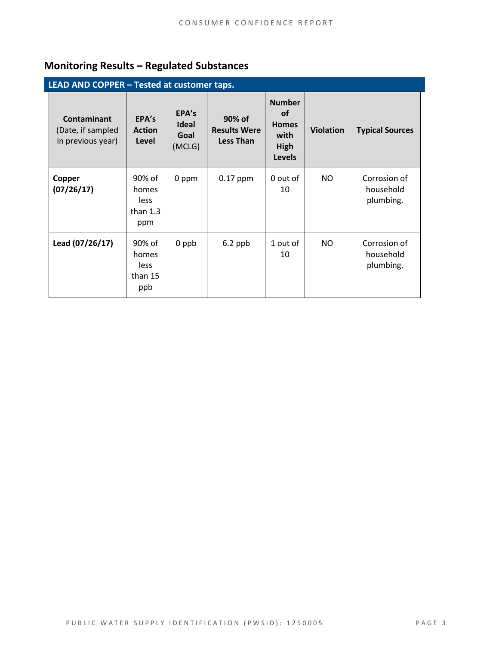### **Monitoring Results – Regulated Substances**

| LEAD AND COPPER - Tested at customer taps.                   |                                              |                                         |                                                   |                                                                      |                  |                                        |  |
|--------------------------------------------------------------|----------------------------------------------|-----------------------------------------|---------------------------------------------------|----------------------------------------------------------------------|------------------|----------------------------------------|--|
| <b>Contaminant</b><br>(Date, if sampled<br>in previous year) | EPA's<br><b>Action</b><br>Level              | EPA's<br><b>Ideal</b><br>Goal<br>(MCLG) | 90% of<br><b>Results Were</b><br><b>Less Than</b> | <b>Number</b><br>οf<br><b>Homes</b><br>with<br>High<br><b>Levels</b> | <b>Violation</b> | <b>Typical Sources</b>                 |  |
| Copper<br>(07/26/17)                                         | 90% of<br>homes<br>less<br>than $1.3$<br>ppm | 0 ppm                                   | $0.17$ ppm                                        | 0 out of<br>10                                                       | NO.              | Corrosion of<br>household<br>plumbing. |  |
| Lead (07/26/17)                                              | 90% of<br>homes<br>less<br>than 15<br>ppb    | 0 ppb                                   | $6.2$ ppb                                         | 1 out of<br>10                                                       | NO.              | Corrosion of<br>household<br>plumbing. |  |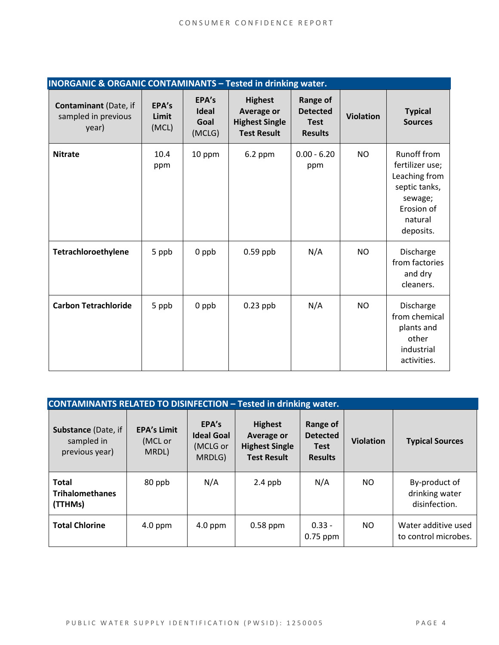| <b>INORGANIC &amp; ORGANIC CONTAMINANTS - Tested in drinking water.</b> |                         |                                         |                                                                                    |                                                              |                  |                                                                                                                   |
|-------------------------------------------------------------------------|-------------------------|-----------------------------------------|------------------------------------------------------------------------------------|--------------------------------------------------------------|------------------|-------------------------------------------------------------------------------------------------------------------|
| Contaminant (Date, if<br>sampled in previous<br>year)                   | EPA's<br>Limit<br>(MCL) | EPA's<br><b>Ideal</b><br>Goal<br>(MCLG) | <b>Highest</b><br><b>Average or</b><br><b>Highest Single</b><br><b>Test Result</b> | Range of<br><b>Detected</b><br><b>Test</b><br><b>Results</b> | <b>Violation</b> | <b>Typical</b><br><b>Sources</b>                                                                                  |
| <b>Nitrate</b>                                                          | 10.4<br>ppm             | 10 ppm                                  | $6.2$ ppm                                                                          | $0.00 - 6.20$<br>ppm                                         | <b>NO</b>        | Runoff from<br>fertilizer use;<br>Leaching from<br>septic tanks,<br>sewage;<br>Erosion of<br>natural<br>deposits. |
| Tetrachloroethylene                                                     | 5 ppb                   | 0 ppb                                   | $0.59$ ppb                                                                         | N/A                                                          | <b>NO</b>        | Discharge<br>from factories<br>and dry<br>cleaners.                                                               |
| <b>Carbon Tetrachloride</b>                                             | 5 ppb                   | 0 ppb                                   | $0.23$ ppb                                                                         | N/A                                                          | <b>NO</b>        | Discharge<br>from chemical<br>plants and<br>other<br>industrial<br>activities.                                    |

| <b>CONTAMINANTS RELATED TO DISINFECTION - Tested in drinking water.</b> |                                        |                                                  |                                                                             |                                                              |                  |                                                  |  |  |
|-------------------------------------------------------------------------|----------------------------------------|--------------------------------------------------|-----------------------------------------------------------------------------|--------------------------------------------------------------|------------------|--------------------------------------------------|--|--|
| <b>Substance (Date, if</b><br>sampled in<br>previous year)              | <b>EPA's Limit</b><br>(MCL or<br>MRDL) | EPA's<br><b>Ideal Goal</b><br>(MCLG or<br>MRDLG) | <b>Highest</b><br>Average or<br><b>Highest Single</b><br><b>Test Result</b> | Range of<br><b>Detected</b><br><b>Test</b><br><b>Results</b> | <b>Violation</b> | <b>Typical Sources</b>                           |  |  |
| <b>Total</b><br><b>Trihalomethanes</b><br>(TTHMs)                       | 80 ppb                                 | N/A                                              | $2.4$ ppb                                                                   | N/A                                                          | NO.              | By-product of<br>drinking water<br>disinfection. |  |  |
| <b>Total Chlorine</b>                                                   | $4.0$ ppm                              | $4.0$ ppm                                        | $0.58$ ppm                                                                  | $0.33 -$<br>$0.75$ ppm                                       | NO.              | Water additive used<br>to control microbes.      |  |  |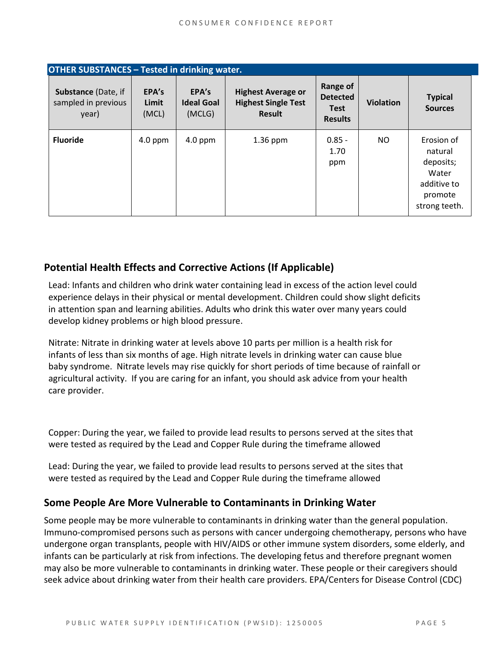| <b>OTHER SUBSTANCES - Tested in drinking water.</b>        |                         |                                      |                                                                   |                                                              |                  |                                                                                        |  |
|------------------------------------------------------------|-------------------------|--------------------------------------|-------------------------------------------------------------------|--------------------------------------------------------------|------------------|----------------------------------------------------------------------------------------|--|
| <b>Substance (Date, if</b><br>sampled in previous<br>year) | EPA's<br>Limit<br>(MCL) | EPA's<br><b>Ideal Goal</b><br>(MCLG) | <b>Highest Average or</b><br><b>Highest Single Test</b><br>Result | Range of<br><b>Detected</b><br><b>Test</b><br><b>Results</b> | <b>Violation</b> | <b>Typical</b><br><b>Sources</b>                                                       |  |
| <b>Fluoride</b>                                            | $4.0$ ppm               | $4.0$ ppm                            | $1.36$ ppm                                                        | $0.85 -$<br>1.70<br>ppm                                      | <b>NO</b>        | Erosion of<br>natural<br>deposits;<br>Water<br>additive to<br>promote<br>strong teeth. |  |

### **Potential Health Effects and Corrective Actions (If Applicable)**

Lead: Infants and children who drink water containing lead in excess of the action level could experience delays in their physical or mental development. Children could show slight deficits in attention span and learning abilities. Adults who drink this water over many years could develop kidney problems or high blood pressure.

Nitrate: Nitrate in drinking water at levels above 10 parts per million is a health risk for infants of less than six months of age. High nitrate levels in drinking water can cause blue baby syndrome. Nitrate levels may rise quickly for short periods of time because of rainfall or agricultural activity. If you are caring for an infant, you should ask advice from your health care provider.

Copper: During the year, we failed to provide lead results to persons served at the sites that were tested as required by the Lead and Copper Rule during the timeframe allowed

Lead: During the year, we failed to provide lead results to persons served at the sites that were tested as required by the Lead and Copper Rule during the timeframe allowed

#### **Some People Are More Vulnerable to Contaminants in Drinking Water**

Some people may be more vulnerable to contaminants in drinking water than the general population. Immuno-compromised persons such as persons with cancer undergoing chemotherapy, persons who have undergone organ transplants, people with HIV/AIDS or other immune system disorders, some elderly, and infants can be particularly at risk from infections. The developing fetus and therefore pregnant women may also be more vulnerable to contaminants in drinking water. These people or their caregivers should seek advice about drinking water from their health care providers. EPA/Centers for Disease Control (CDC)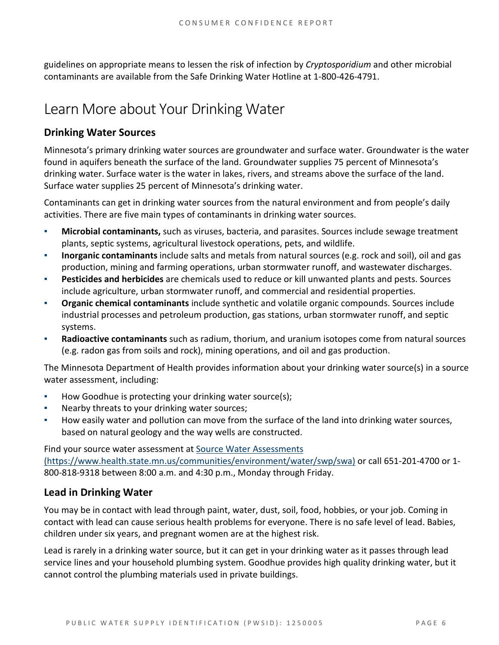guidelines on appropriate means to lessen the risk of infection by *Cryptosporidium* and other microbial contaminants are available from the Safe Drinking Water Hotline at 1-800-426-4791.

# Learn More about Your Drinking Water

### **Drinking Water Sources**

Minnesota's primary drinking water sources are groundwater and surface water. Groundwater is the water found in aquifers beneath the surface of the land. Groundwater supplies 75 percent of Minnesota's drinking water. Surface water is the water in lakes, rivers, and streams above the surface of the land. Surface water supplies 25 percent of Minnesota's drinking water.

Contaminants can get in drinking water sources from the natural environment and from people's daily activities. There are five main types of contaminants in drinking water sources.

- **Microbial contaminants,** such as viruses, bacteria, and parasites. Sources include sewage treatment plants, septic systems, agricultural livestock operations, pets, and wildlife.
- **Inorganic contaminants** include salts and metals from natural sources (e.g. rock and soil), oil and gas production, mining and farming operations, urban stormwater runoff, and wastewater discharges.
- **Pesticides and herbicides** are chemicals used to reduce or kill unwanted plants and pests. Sources include agriculture, urban stormwater runoff, and commercial and residential properties.
- **Organic chemical contaminants** include synthetic and volatile organic compounds. Sources include industrial processes and petroleum production, gas stations, urban stormwater runoff, and septic systems.
- **Radioactive contaminants** such as radium, thorium, and uranium isotopes come from natural sources (e.g. radon gas from soils and rock), mining operations, and oil and gas production.

The Minnesota Department of Health provides information about your drinking water source(s) in a source water assessment, including:

- How Goodhue is protecting your drinking water source(s);
- Nearby threats to your drinking water sources;
- How easily water and pollution can move from the surface of the land into drinking water sources, based on natural geology and the way wells are constructed.

Find your source water assessment a[t Source Water Assessments](https://www.health.state.mn.us/communities/environment/water/swp/swa)  [\(https://www.health.state.mn.us/communities/environment/water/swp/swa\)](https://www.health.state.mn.us/communities/environment/water/swp/swa) or call 651-201-4700 or 1- 800-818-9318 between 8:00 a.m. and 4:30 p.m., Monday through Friday.

### **Lead in Drinking Water**

You may be in contact with lead through paint, water, dust, soil, food, hobbies, or your job. Coming in contact with lead can cause serious health problems for everyone. There is no safe level of lead. Babies, children under six years, and pregnant women are at the highest risk.

Lead is rarely in a drinking water source, but it can get in your drinking water as it passes through lead service lines and your household plumbing system. Goodhue provides high quality drinking water, but it cannot control the plumbing materials used in private buildings.